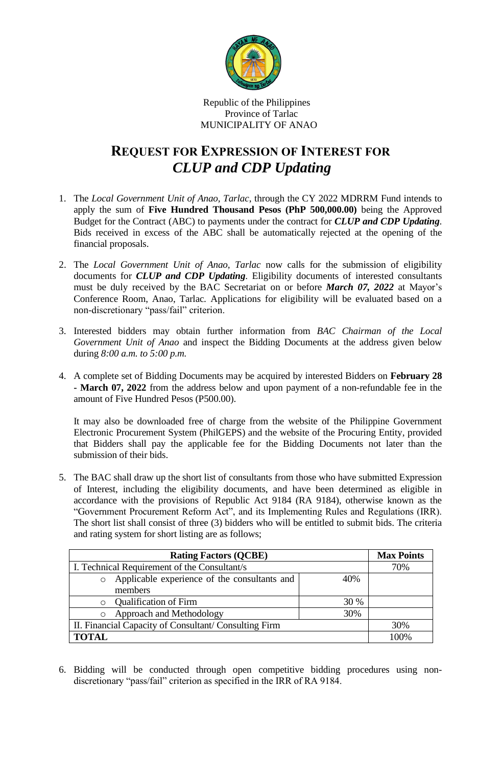

## Republic of the Philippines Province of Tarlac MUNICIPALITY OF ANAO

## **REQUEST FOR EXPRESSION OF INTEREST FOR** *CLUP and CDP Updating*

- 1. The *Local Government Unit of Anao, Tarlac*, through the CY 2022 MDRRM Fund intends to apply the sum of **Five Hundred Thousand Pesos (PhP 500,000.00)** being the Approved Budget for the Contract (ABC) to payments under the contract for *CLUP and CDP Updating*. Bids received in excess of the ABC shall be automatically rejected at the opening of the financial proposals.
- 2. The *Local Government Unit of Anao, Tarlac* now calls for the submission of eligibility documents for *CLUP and CDP Updating*. Eligibility documents of interested consultants must be duly received by the BAC Secretariat on or before *March 07, 2022* at Mayor's Conference Room, Anao, Tarlac*.* Applications for eligibility will be evaluated based on a non-discretionary "pass/fail" criterion.
- 3. Interested bidders may obtain further information from *BAC Chairman of the Local Government Unit of Anao* and inspect the Bidding Documents at the address given below during *8:00 a.m. to 5:00 p.m.*
- 4. A complete set of Bidding Documents may be acquired by interested Bidders on **February 28 - March 07, 2022** from the address below and upon payment of a non-refundable fee in the amount of Five Hundred Pesos (P500.00).

It may also be downloaded free of charge from the website of the Philippine Government Electronic Procurement System (PhilGEPS) and the website of the Procuring Entity*,* provided that Bidders shall pay the applicable fee for the Bidding Documents not later than the submission of their bids.

5. The BAC shall draw up the short list of consultants from those who have submitted Expression of Interest, including the eligibility documents, and have been determined as eligible in accordance with the provisions of Republic Act 9184 (RA 9184), otherwise known as the "Government Procurement Reform Act", and its Implementing Rules and Regulations (IRR). The short list shall consist of three (3) bidders who will be entitled to submit bids. The criteria and rating system for short listing are as follows;

| <b>Rating Factors (QCBE)</b>                            |      | <b>Max Points</b> |
|---------------------------------------------------------|------|-------------------|
| I. Technical Requirement of the Consultant/s            |      | 70%               |
| Applicable experience of the consultants and<br>$\circ$ | 40%  |                   |
| members                                                 |      |                   |
| <b>Qualification of Firm</b>                            | 30 % |                   |
| Approach and Methodology                                | 30%  |                   |
| II. Financial Capacity of Consultant/ Consulting Firm   |      | 30%               |
| <b>TOTAL</b>                                            |      | 100%              |

6. Bidding will be conducted through open competitive bidding procedures using nondiscretionary "pass/fail" criterion as specified in the IRR of RA 9184.